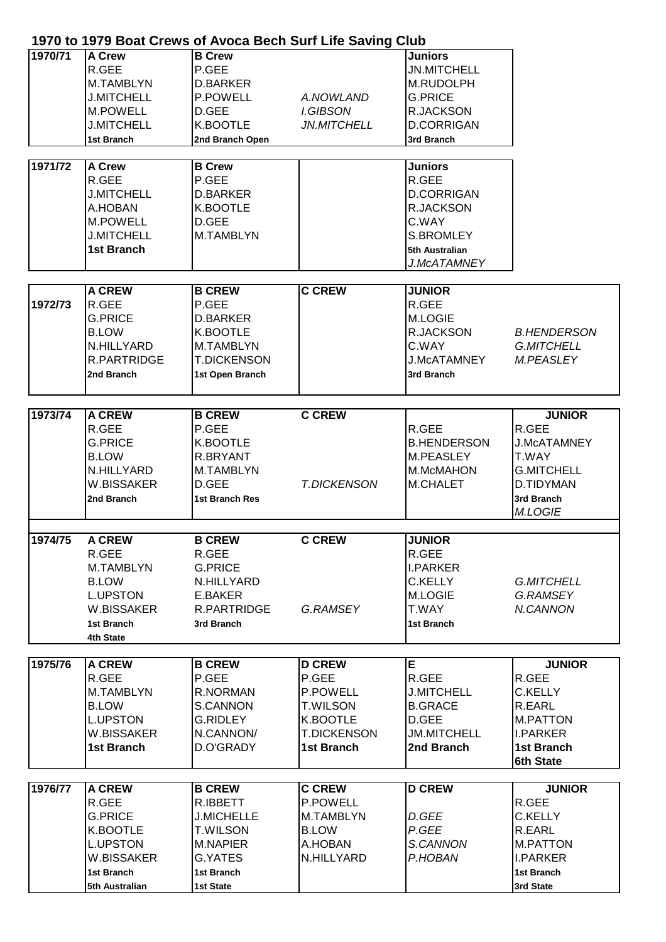## **1970 to 1979 Boat Crews of Avoca Bech Surf Life Saving Club**

| 1970/71<br>1971/72 | A Crew<br>R.GEE<br>M.TAMBLYN<br><b>J.MITCHELL</b><br><b>M.POWELL</b><br><b>J.MITCHELL</b><br>1st Branch<br><b>A Crew</b><br>R.GEE<br><b>J.MITCHELL</b><br>A.HOBAN<br>M.POWELL | <b>B</b> Crew<br>P.GEE<br><b>D.BARKER</b><br><b>P.POWELL</b><br>D.GEE<br>K.BOOTLE<br>2nd Branch Open<br><b>B</b> Crew<br>P.GEE<br><b>D.BARKER</b><br>K.BOOTLE<br>D.GEE | A.NOWLAND<br><b>I.GIBSON</b><br><b>JN.MITCHELL</b>                                                    | <b>Juniors</b><br><b>JN.MITCHELL</b><br>M.RUDOLPH<br><b>G.PRICE</b><br><b>R.JACKSON</b><br><b>D.CORRIGAN</b><br>3rd Branch<br><b>Juniors</b><br>R.GEE<br><b>D.CORRIGAN</b><br>R.JACKSON<br>C.WAY |                                                                                                                         |
|--------------------|-------------------------------------------------------------------------------------------------------------------------------------------------------------------------------|------------------------------------------------------------------------------------------------------------------------------------------------------------------------|-------------------------------------------------------------------------------------------------------|--------------------------------------------------------------------------------------------------------------------------------------------------------------------------------------------------|-------------------------------------------------------------------------------------------------------------------------|
|                    | <b>J.MITCHELL</b><br><b>1st Branch</b>                                                                                                                                        | M.TAMBLYN                                                                                                                                                              |                                                                                                       | <b>S.BROMLEY</b><br>5th Australian<br>J.McATAMNEY                                                                                                                                                |                                                                                                                         |
| 1972/73            | <b>A CREW</b><br>R.GEE<br><b>G.PRICE</b><br><b>B.LOW</b><br>N.HILLYARD<br>R.PARTRIDGE<br>2nd Branch                                                                           | <b>B CREW</b><br>P.GEE<br><b>D.BARKER</b><br>K.BOOTLE<br>M.TAMBLYN<br><b>T.DICKENSON</b><br>1st Open Branch                                                            | <b>C CREW</b>                                                                                         | <b>JUNIOR</b><br>R.GEE<br><b>M.LOGIE</b><br>R.JACKSON<br>C.WAY<br><b>J.McATAMNEY</b><br>3rd Branch                                                                                               | <b>B.HENDERSON</b><br><b>G.MITCHELL</b><br><b>M.PEASLEY</b>                                                             |
|                    |                                                                                                                                                                               |                                                                                                                                                                        |                                                                                                       |                                                                                                                                                                                                  |                                                                                                                         |
| 1973/74            | <b>A CREW</b><br>R.GEE<br><b>G.PRICE</b><br><b>B.LOW</b><br>N.HILLYARD<br>W.BISSAKER<br>2nd Branch                                                                            | <b>B CREW</b><br>P.GEE<br>K.BOOTLE<br>R.BRYANT<br>M.TAMBLYN<br>D.GEE<br><b>1st Branch Res</b>                                                                          | <b>C CREW</b><br><b>T.DICKENSON</b>                                                                   | R.GEE<br><b>B.HENDERSON</b><br>M.PEASLEY<br>M.McMAHON<br><b>M.CHALET</b>                                                                                                                         | <b>JUNIOR</b><br>R.GEE<br><b>J.McATAMNEY</b><br>T.WAY<br><b>G.MITCHELL</b><br>D.TIDYMAN<br>3rd Branch<br><b>M.LOGIE</b> |
|                    |                                                                                                                                                                               |                                                                                                                                                                        |                                                                                                       |                                                                                                                                                                                                  |                                                                                                                         |
| 1974/75            | <b>A CREW</b><br>R.GEE<br>M.TAMBLYN<br><b>B.LOW</b><br><b>L.UPSTON</b><br>W.BISSAKER<br>1st Branch<br>4th State                                                               | <b>B CREW</b><br>R.GEE<br><b>G.PRICE</b><br>N.HILLYARD<br>E.BAKER<br>R.PARTRIDGE<br>3rd Branch                                                                         | <b>C CREW</b><br>G.RAMSEY                                                                             | <b>JUNIOR</b><br>R.GEE<br><b>I.PARKER</b><br><b>C.KELLY</b><br><b>M.LOGIE</b><br>T.WAY<br>1st Branch                                                                                             | <b>G.MITCHELL</b><br>G.RAMSEY<br>N.CANNON                                                                               |
|                    |                                                                                                                                                                               |                                                                                                                                                                        |                                                                                                       |                                                                                                                                                                                                  |                                                                                                                         |
| 1975/76            | <b>A CREW</b><br>R.GEE<br>M.TAMBLYN<br><b>B.LOW</b><br><b>L.UPSTON</b><br>W.BISSAKER<br><b>1st Branch</b>                                                                     | <b>B CREW</b><br>P.GEE<br>R.NORMAN<br>S.CANNON<br><b>G.RIDLEY</b><br>N.CANNON/<br>D.O'GRADY                                                                            | <b>D CREW</b><br>P.GEE<br>P.POWELL<br><b>T.WILSON</b><br>K.BOOTLE<br><b>T.DICKENSON</b><br>1st Branch | E<br>R.GEE<br><b>J.MITCHELL</b><br><b>B.GRACE</b><br>D.GEE<br><b>JM.MITCHELL</b><br>2nd Branch                                                                                                   | <b>JUNIOR</b><br>R.GEE<br>C.KELLY<br>R.EARL<br><b>M.PATTON</b><br><b>I.PARKER</b><br>1st Branch<br>6th State            |
|                    |                                                                                                                                                                               |                                                                                                                                                                        |                                                                                                       |                                                                                                                                                                                                  |                                                                                                                         |
| 1976/77            | <b>A CREW</b><br>R.GEE<br><b>G.PRICE</b><br>K.BOOTLE<br><b>L.UPSTON</b><br>W.BISSAKER<br><b>1st Branch</b><br>5th Australian                                                  | <b>B CREW</b><br>R.IBBETT<br><b>J.MICHELLE</b><br><b>T.WILSON</b><br>M.NAPIER<br>G.YATES<br>1st Branch<br>1st State                                                    | <b>C CREW</b><br>P.POWELL<br>M.TAMBLYN<br><b>B.LOW</b><br>A.HOBAN<br>N.HILLYARD                       | <b>D CREW</b><br>D.GEE<br>P.GEE<br>S.CANNON<br>P.HOBAN                                                                                                                                           | <b>JUNIOR</b><br>R.GEE<br><b>C.KELLY</b><br>R.EARL<br><b>M.PATTON</b><br><b>I.PARKER</b><br>1st Branch<br>3rd State     |